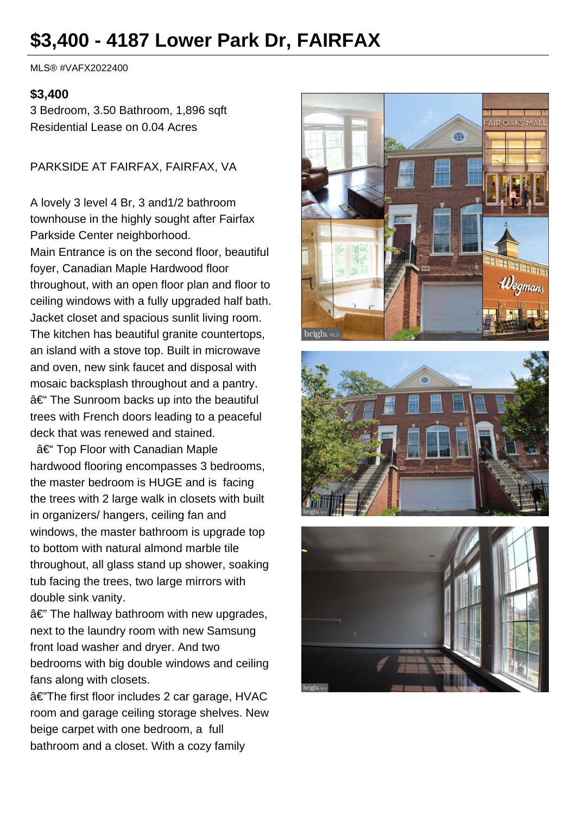# **\$3,400 - 4187 Lower Park Dr, FAIRFAX**

MLS® #VAFX2022400

#### **\$3,400**

3 Bedroom, 3.50 Bathroom, 1,896 sqft Residential Lease on 0.04 Acres

PARKSIDE AT FAIRFAX, FAIRFAX, VA

A lovely 3 level 4 Br, 3 and1/2 bathroom townhouse in the highly sought after Fairfax Parkside Center neighborhood. Main Entrance is on the second floor, beautiful foyer, Canadian Maple Hardwood floor throughout, with an open floor plan and floor to ceiling windows with a fully upgraded half bath. Jacket closet and spacious sunlit living room. The kitchen has beautiful granite countertops, an island with a stove top. Built in microwave and oven, new sink faucet and disposal with mosaic backsplash throughout and a pantry.  $a \in$  The Sunroom backs up into the beautiful trees with French doors leading to a peaceful deck that was renewed and stained.

– Top Floor with Canadian Maple hardwood flooring encompasses 3 bedrooms, the master bedroom is HUGE and is facing the trees with 2 large walk in closets with built in organizers/ hangers, ceiling fan and windows, the master bathroom is upgrade top to bottom with natural almond marble tile throughout, all glass stand up shower, soaking tub facing the trees, two large mirrors with double sink vanity.

 $a \in \mathbb{Z}$  The hallway bathroom with new upgrades, next to the laundry room with new Samsung front load washer and dryer. And two bedrooms with big double windows and ceiling fans along with closets.

â€"The first floor includes 2 car garage, HVAC room and garage ceiling storage shelves. New beige carpet with one bedroom, a full bathroom and a closet. With a cozy family





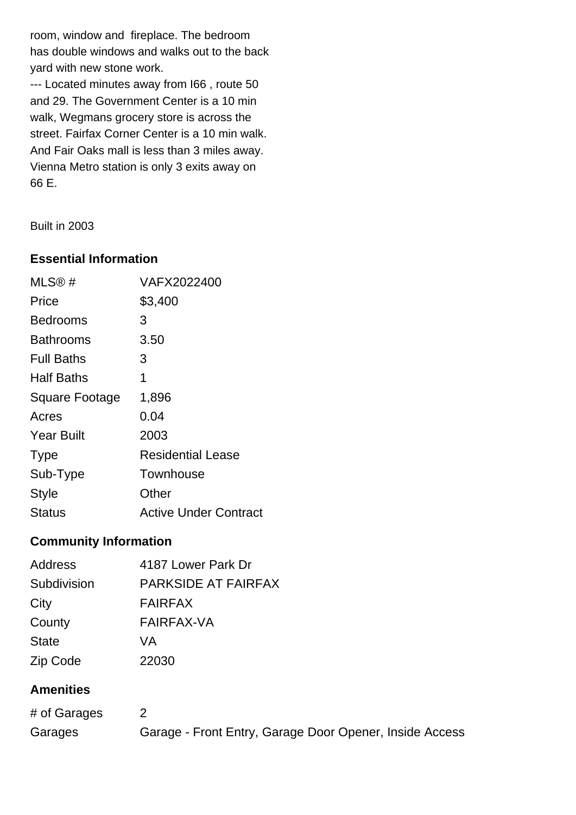room, window and fireplace. The bedroom has double windows and walks out to the back yard with new stone work.

--- Located minutes away from I66 , route 50 and 29. The Government Center is a 10 min walk, Wegmans grocery store is across the street. Fairfax Corner Center is a 10 min walk. And Fair Oaks mall is less than 3 miles away. Vienna Metro station is only 3 exits away on 66 E.

Built in 2003

### **Essential Information**

| MLS@#             | VAFX2022400                  |
|-------------------|------------------------------|
| Price             | \$3,400                      |
| <b>Bedrooms</b>   | 3                            |
| Bathrooms         | 3.50                         |
| <b>Full Baths</b> | 3                            |
| <b>Half Baths</b> | 1                            |
| Square Footage    | 1,896                        |
| Acres             | 0.04                         |
| <b>Year Built</b> | 2003                         |
| <b>Type</b>       | <b>Residential Lease</b>     |
| Sub-Type          | Townhouse                    |
| Style             | Other                        |
| <b>Status</b>     | <b>Active Under Contract</b> |

### **Community Information**

| Address          | 4187 Lower Park Dr         |
|------------------|----------------------------|
| Subdivision      | <b>PARKSIDE AT FAIRFAX</b> |
| City             | <b>FAIRFAX</b>             |
| County           | <b>FAIRFAX-VA</b>          |
| <b>State</b>     | VA                         |
| Zip Code         | 22030                      |
| <b>Amenities</b> |                            |
|                  |                            |

| # of Garages |                                                         |
|--------------|---------------------------------------------------------|
| Garages      | Garage - Front Entry, Garage Door Opener, Inside Access |